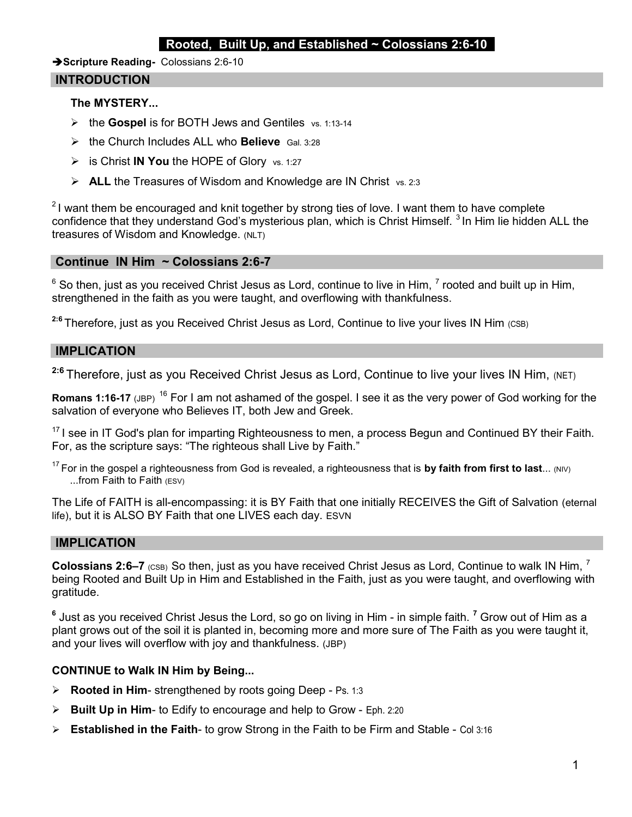## Rooted, Built Up, and Established  $\sim$  Colossians 2:6-10

Scripture Reading- Colossians 2:6-10

### INTRODUCTION

### The MYSTERY...

- $\triangleright$  the Gospel is for BOTH Jews and Gentiles vs. 1:13-14
- $\triangleright$  the Church Includes ALL who Believe Gal. 3:28
- $\triangleright$  is Christ IN You the HOPE of Glory vs. 1:27
- $\triangleright$  **ALL** the Treasures of Wisdom and Knowledge are IN Christ vs. 2:3

 $21$  want them be encouraged and knit together by strong ties of love. I want them to have complete confidence that they understand God's mysterious plan, which is Christ Himself.<sup>3</sup> In Him lie hidden ALL the treasures of Wisdom and Knowledge. (NLT)

# Continue IN Him ~ Colossians 2:6-7

 $^6$  So then, just as you received Christ Jesus as Lord, continue to live in Him,  $^7$  rooted and built up in Him, strengthened in the faith as you were taught, and overflowing with thankfulness.

 $2.6$  Therefore, just as you Received Christ Jesus as Lord, Continue to live your lives IN Him (CSB)

### IMPLICATION

<sup>2:6</sup> Therefore, just as you Received Christ Jesus as Lord, Continue to live your lives IN Him, (NET)

Romans 1:16-17 (JBP) <sup>16</sup> For I am not ashamed of the gospel. I see it as the very power of God working for the salvation of everyone who Believes IT, both Jew and Greek.

 $17$  I see in IT God's plan for imparting Righteousness to men, a process Begun and Continued BY their Faith. For, as the scripture says: "The righteous shall Live by Faith."

 $17$  For in the gospel a righteousness from God is revealed, a righteousness that is by faith from first to last... (NIV) ...from Faith to Faith (ESV)

The Life of FAITH is all-encompassing: it is BY Faith that one initially RECEIVES the Gift of Salvation (eternal life), but it is ALSO BY Faith that one LIVES each day. ESVN

#### IMPLICATION

**Colossians 2:6–7** (CSB) So then, just as you have received Christ Jesus as Lord, Continue to walk IN Him,  $^7$ being Rooted and Built Up in Him and Established in the Faith, just as you were taught, and overflowing with gratitude.

 $^{\rm 6}$  Just as you received Christ Jesus the Lord, so go on living in Him - in simple faith.  $^7$  Grow out of Him as a plant grows out of the soil it is planted in, becoming more and more sure of The Faith as you were taught it, and your lives will overflow with joy and thankfulness. (JBP)

## CONTINUE to Walk IN Him by Being...

- $\triangleright$  Rooted in Him- strengthened by roots going Deep Ps. 1:3
- $\triangleright$  Built Up in Him- to Edify to encourage and help to Grow Eph. 2:20
- $\triangleright$  Established in the Faith- to grow Strong in the Faith to be Firm and Stable Col 3:16